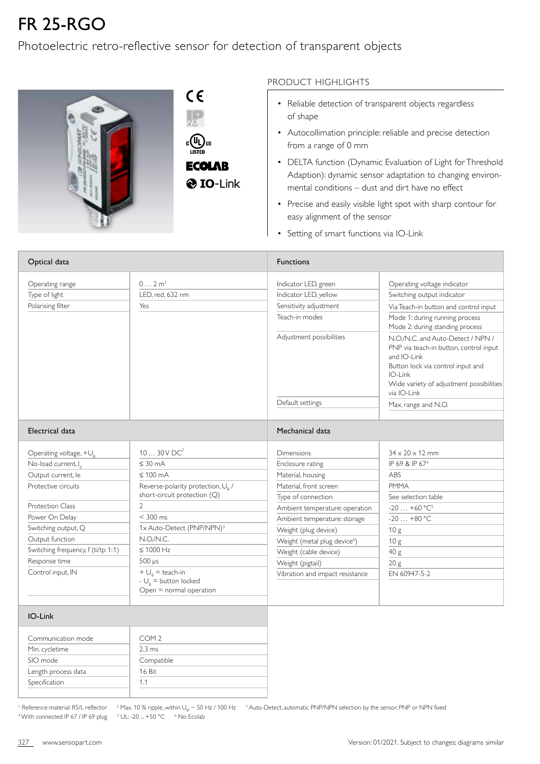## FR 25-RGO

## Photoelectric retro-reflective sensor for detection of transparent objects



**ECOLAB** 

## PRODUCT HIGHLIGHTS

- Reliable detection of transparent objects regardless of shape
- Autocollimation principle: reliable and precise detection from a range of 0 mm
- DELTA function (Dynamic Evaluation of Light for Threshold Adaption): dynamic sensor adaptation to changing environmental conditions – dust and dirt have no effect
- Precise and easily visible light spot with sharp contour for easy alignment of the sensor
- Setting of smart functions via IO-Link

| Optical data                       |                                                                         | <b>Functions</b>                         |                                                                                                                                                                                                       |  |  |
|------------------------------------|-------------------------------------------------------------------------|------------------------------------------|-------------------------------------------------------------------------------------------------------------------------------------------------------------------------------------------------------|--|--|
| Operating range                    | 02m <sup>1</sup>                                                        | Indicator LED, green                     | Operating voltage indicator                                                                                                                                                                           |  |  |
| Type of light                      | LED. red. 632 nm                                                        | Indicator LED, yellow                    | Switching output indicator                                                                                                                                                                            |  |  |
| Polarising filter                  | Yes                                                                     | Sensitivity adjustment                   | Via Teach-in button and control input                                                                                                                                                                 |  |  |
|                                    |                                                                         | Teach-in modes                           | Mode 1: during running process<br>Mode 2: during standing process                                                                                                                                     |  |  |
|                                    |                                                                         | Adjustment possibilities                 | N.O./N.C. and Auto-Detect / NPN /<br>PNP via teach-in button, control input<br>and IO-Link<br>Button lock via control input and<br>IO-Link<br>Wide variety of adjustment possibilities<br>via IO-Link |  |  |
|                                    |                                                                         | Default settings                         | Max. range and N.O.                                                                                                                                                                                   |  |  |
|                                    |                                                                         |                                          |                                                                                                                                                                                                       |  |  |
| Electrical data                    |                                                                         | Mechanical data                          |                                                                                                                                                                                                       |  |  |
| Operating voltage, $+U_{R}$        | 1030VDC <sup>2</sup>                                                    | Dimensions                               | $34 \times 20 \times 12$ mm                                                                                                                                                                           |  |  |
| No-load current, I <sub>o</sub>    | $\leq 30$ mA                                                            | Enclosure rating                         | IP 69 & IP 67 <sup>4</sup>                                                                                                                                                                            |  |  |
| Output current, le                 | $\leq 100$ mA                                                           | Material, housing                        | ABS                                                                                                                                                                                                   |  |  |
| Protective circuits                | Reverse-polarity protection, U <sub>B</sub> /                           | Material, front screen                   | <b>PMMA</b>                                                                                                                                                                                           |  |  |
|                                    | short-circuit protection (Q)                                            | Type of connection                       | See selection table                                                                                                                                                                                   |  |  |
| Protection Class                   | $\overline{2}$                                                          | Ambient temperature: operation           | $-20+60$ °C <sup>5</sup>                                                                                                                                                                              |  |  |
| Power On Delay                     | $<$ 300 ms                                                              | Ambient temperature: storage             | $-20+80$ °C                                                                                                                                                                                           |  |  |
| Switching output, Q                | 1x Auto-Detect (PNP/NPN) <sup>3</sup>                                   | Weight (plug device)                     | 10 <sub>g</sub>                                                                                                                                                                                       |  |  |
| Output function                    | N.O.N.C.                                                                | Weight (metal plug device <sup>6</sup> ) | 10 <sub>g</sub>                                                                                                                                                                                       |  |  |
| Switching frequency, f (ti/tp 1:1) | $\leq 1000$ Hz                                                          | Weight (cable device)                    | 40 g                                                                                                                                                                                                  |  |  |
| Response time                      | $500 \mu s$                                                             | Weight (pigtail)                         | 20 <sub>g</sub>                                                                                                                                                                                       |  |  |
| Control input, IN                  | + $\bigcup_{R}$ = teach-in                                              | Vibration and impact resistance          | EN 60947-5-2                                                                                                                                                                                          |  |  |
|                                    | - $U_{\scriptscriptstyle R}$ = button locked<br>Open = normal operation |                                          |                                                                                                                                                                                                       |  |  |
|                                    |                                                                         |                                          |                                                                                                                                                                                                       |  |  |
| IO-Link                            |                                                                         |                                          |                                                                                                                                                                                                       |  |  |
| Communication mode                 | COM <sub>2</sub>                                                        |                                          |                                                                                                                                                                                                       |  |  |
| Min. cycletime                     | $2.3 \text{ ms}$                                                        |                                          |                                                                                                                                                                                                       |  |  |
| SIO mode                           | Compatible                                                              |                                          |                                                                                                                                                                                                       |  |  |
| Length process data                | 16 Bit                                                                  |                                          |                                                                                                                                                                                                       |  |  |
| Specification                      | 1,1                                                                     |                                          |                                                                                                                                                                                                       |  |  |

<sup>4</sup> With connected IP 67 / IP 69 plug <sup>5</sup>

 $5 \text{ UL: -20} \dots +50 \text{ °C}$  6 No Ecolab

 $^1$  Reference material: R5/L reflector  $^{-2}$  Max. 10 % ripple, within U<sub>B</sub>  $\sim$  50 Hz / 100 Hz  $^{-3}$  Auto-Detect, automatic PNP/NPN selection by the sensor, PNP or NPN fixed